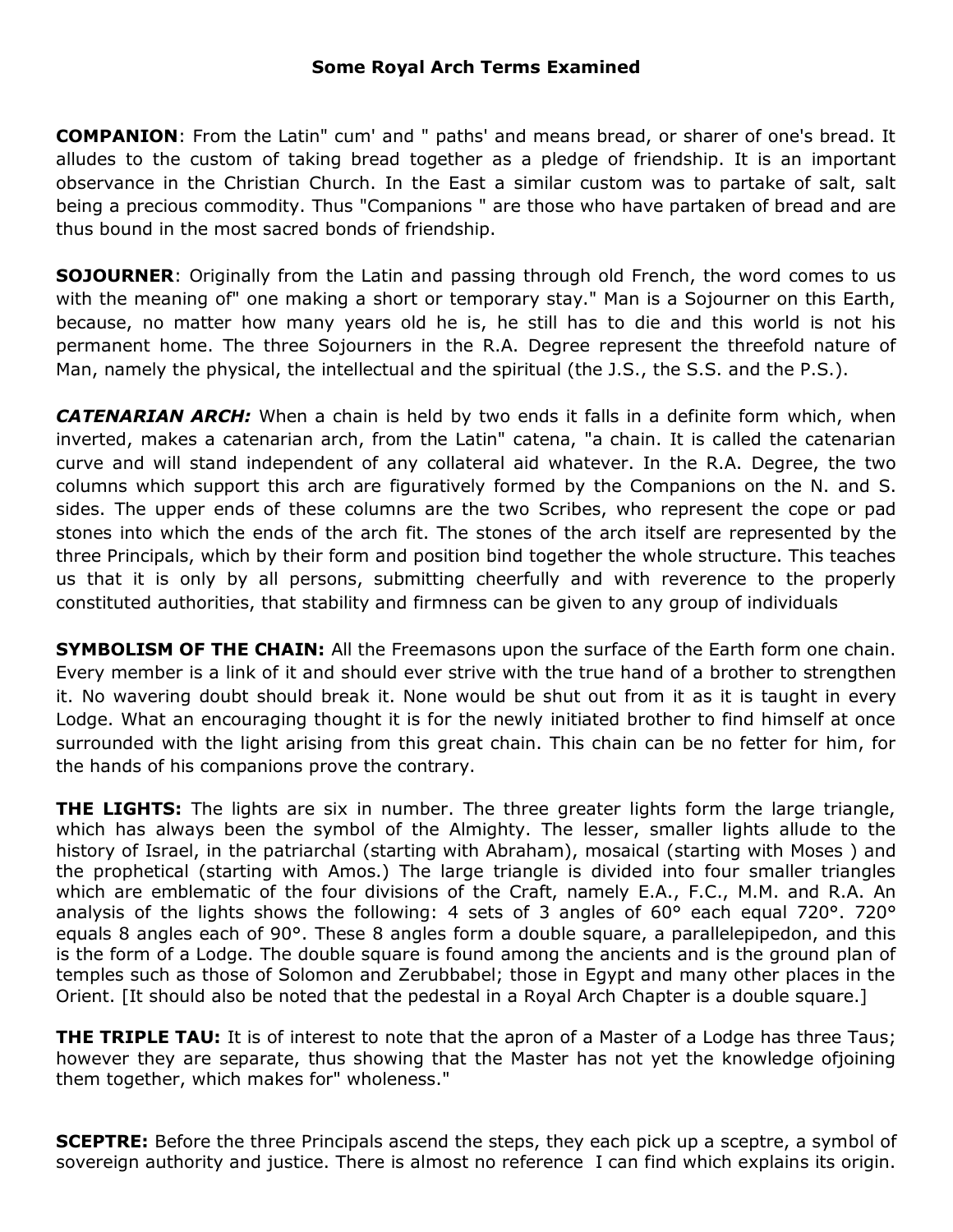**COMPANION**: From the Latin" cum' and " paths' and means bread, or sharer of one's bread. It alludes to the custom of taking bread together as a pledge of friendship. It is an important observance in the Christian Church. In the East a similar custom was to partake of salt, salt being a precious commodity. Thus "Companions " are those who have partaken of bread and are thus bound in the most sacred bonds of friendship.

**SOJOURNER**: Originally from the Latin and passing through old French, the word comes to us with the meaning of" one making a short or temporary stay." Man is a Sojourner on this Earth, because, no matter how many years old he is, he still has to die and this world is not his permanent home. The three Sojourners in the R.A. Degree represent the threefold nature of Man, namely the physical, the intellectual and the spiritual (the J.S., the S.S. and the P.S.).

*CATENARIAN ARCH:* When a chain is held by two ends it falls in a definite form which, when inverted, makes a catenarian arch, from the Latin" catena, "a chain. It is called the catenarian curve and will stand independent of any collateral aid whatever. In the R.A. Degree, the two columns which support this arch are figuratively formed by the Companions on the N. and S. sides. The upper ends of these columns are the two Scribes, who represent the cope or pad stones into which the ends of the arch fit. The stones of the arch itself are represented by the three Principals, which by their form and position bind together the whole structure. This teaches us that it is only by all persons, submitting cheerfully and with reverence to the properly constituted authorities, that stability and firmness can be given to any group of individuals

**SYMBOLISM OF THE CHAIN:** All the Freemasons upon the surface of the Earth form one chain. Every member is a link of it and should ever strive with the true hand of a brother to strengthen it. No wavering doubt should break it. None would be shut out from it as it is taught in every Lodge. What an encouraging thought it is for the newly initiated brother to find himself at once surrounded with the light arising from this great chain. This chain can be no fetter for him, for the hands of his companions prove the contrary.

**THE LIGHTS:** The lights are six in number. The three greater lights form the large triangle, which has always been the symbol of the Almighty. The lesser, smaller lights allude to the history of Israel, in the patriarchal (starting with Abraham), mosaical (starting with Moses ) and the prophetical (starting with Amos.) The large triangle is divided into four smaller triangles which are emblematic of the four divisions of the Craft, namely E.A., F.C., M.M. and R.A. An analysis of the lights shows the following: 4 sets of 3 angles of 60° each equal 720°. 720° equals 8 angles each of 90°. These 8 angles form a double square, a parallelepipedon, and this is the form of a Lodge. The double square is found among the ancients and is the ground plan of temples such as those of Solomon and Zerubbabel; those in Egypt and many other places in the Orient. [It should also be noted that the pedestal in a Royal Arch Chapter is a double square.]

**THE TRIPLE TAU:** It is of interest to note that the apron of a Master of a Lodge has three Taus; however they are separate, thus showing that the Master has not yet the knowledge ofjoining them together, which makes for" wholeness."

**SCEPTRE:** Before the three Principals ascend the steps, they each pick up a sceptre, a symbol of sovereign authority and justice. There is almost no reference I can find which explains its origin.